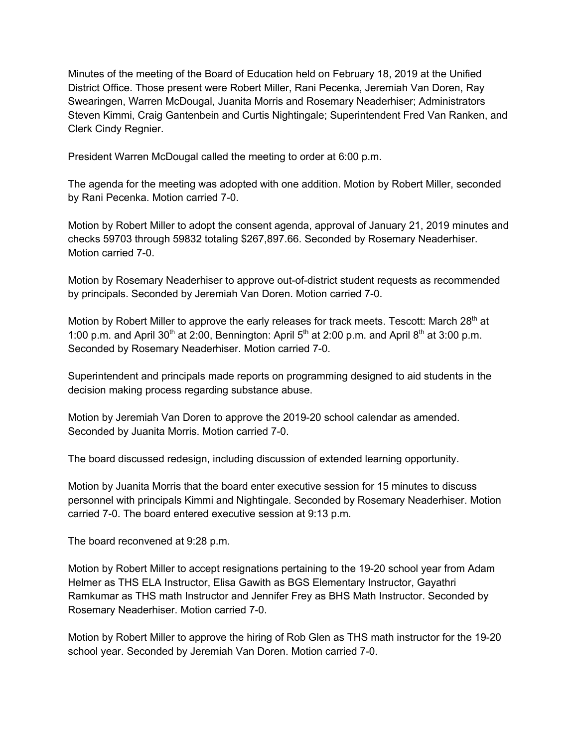Minutes of the meeting of the Board of Education held on February 18, 2019 at the Unified District Office. Those present were Robert Miller, Rani Pecenka, Jeremiah Van Doren, Ray Swearingen, Warren McDougal, Juanita Morris and Rosemary Neaderhiser; Administrators Steven Kimmi, Craig Gantenbein and Curtis Nightingale; Superintendent Fred Van Ranken, and Clerk Cindy Regnier.

President Warren McDougal called the meeting to order at 6:00 p.m.

The agenda for the meeting was adopted with one addition. Motion by Robert Miller, seconded by Rani Pecenka. Motion carried 7-0.

Motion by Robert Miller to adopt the consent agenda, approval of January 21, 2019 minutes and checks 59703 through 59832 totaling \$267,897.66. Seconded by Rosemary Neaderhiser. Motion carried 7-0.

Motion by Rosemary Neaderhiser to approve out-of-district student requests as recommended by principals. Seconded by Jeremiah Van Doren. Motion carried 7-0.

Motion by Robert Miller to approve the early releases for track meets. Tescott: March 28<sup>th</sup> at 1:00 p.m. and April 30<sup>th</sup> at 2:00, Bennington: April  $5<sup>th</sup>$  at 2:00 p.m. and April  $8<sup>th</sup>$  at 3:00 p.m. Seconded by Rosemary Neaderhiser. Motion carried 7-0.

Superintendent and principals made reports on programming designed to aid students in the decision making process regarding substance abuse.

Motion by Jeremiah Van Doren to approve the 2019-20 school calendar as amended. Seconded by Juanita Morris. Motion carried 7-0.

The board discussed redesign, including discussion of extended learning opportunity.

Motion by Juanita Morris that the board enter executive session for 15 minutes to discuss personnel with principals Kimmi and Nightingale. Seconded by Rosemary Neaderhiser. Motion carried 7-0. The board entered executive session at 9:13 p.m.

The board reconvened at 9:28 p.m.

Motion by Robert Miller to accept resignations pertaining to the 19-20 school year from Adam Helmer as THS ELA Instructor, Elisa Gawith as BGS Elementary Instructor, Gayathri Ramkumar as THS math Instructor and Jennifer Frey as BHS Math Instructor. Seconded by Rosemary Neaderhiser. Motion carried 7-0.

Motion by Robert Miller to approve the hiring of Rob Glen as THS math instructor for the 19-20 school year. Seconded by Jeremiah Van Doren. Motion carried 7-0.